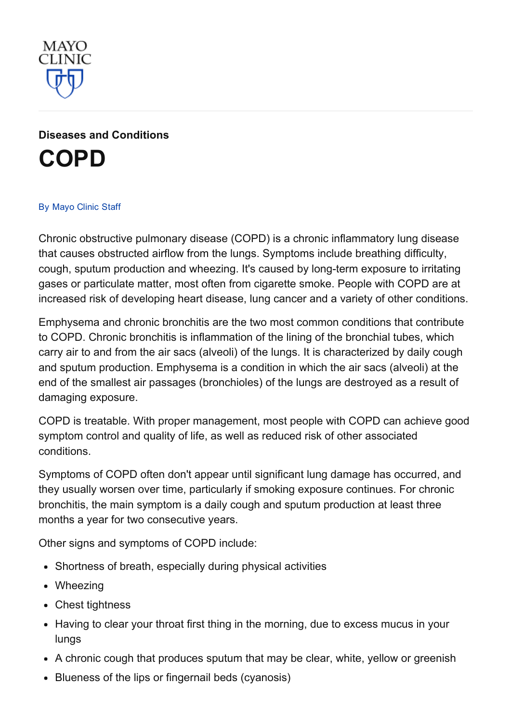

Diseases and [Conditions](http://www.mayoclinic.org/diseases-conditions) [COPD](http://www.mayoclinic.org/diseases-conditions/copd/basics/definition/con-20032017)

#### By [Mayo](http://www.mayoclinic.org/about-this-site/welcome) Clinic Staff

Chronic obstructive pulmonary disease (COPD) is a chronic inflammatory lung disease that causes obstructed airflow from the lungs. Symptoms include breathing difficulty, cough, sputum production and wheezing. It's caused by long-term exposure to irritating gases or particulate matter, most often from cigarette smoke. People with COPD are at increased risk of developing heart disease, lung cancer and a variety of other conditions.

Emphysema and chronic bronchitis are the two most common conditions that contribute to COPD. Chronic bronchitis is inflammation of the lining of the bronchial tubes, which carry air to and from the air sacs (alveoli) of the lungs. It is characterized by daily cough and sputum production. Emphysema is a condition in which the air sacs (alveoli) at the end of the smallest air passages (bronchioles) of the lungs are destroyed as a result of damaging exposure.

COPD is treatable. With proper management, most people with COPD can achieve good symptom control and quality of life, as well as reduced risk of other associated conditions.

Symptoms of COPD often don't appear until significant lung damage has occurred, and they usually worsen over time, particularly if smoking exposure continues. For chronic bronchitis, the main symptom is a daily cough and sputum production at least three months a year for two consecutive years.

Other signs and symptoms of COPD include:

- Shortness of breath, especially during physical activities
- Wheezing
- Chest tightness
- Having to clear your throat first thing in the morning, due to excess mucus in your lungs
- A chronic cough that produces sputum that may be clear, white, yellow or greenish
- Blueness of the lips or fingernail beds (cyanosis)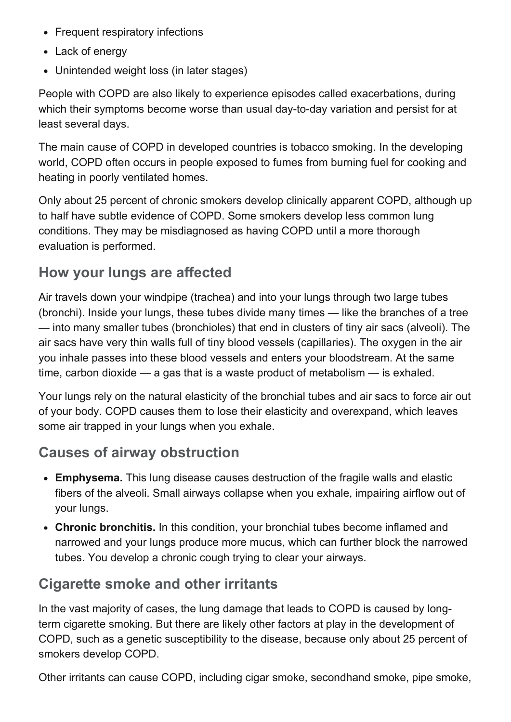- Frequent respiratory infections
- Lack of energy
- Unintended weight loss (in later stages)

People with COPD are also likely to experience episodes called exacerbations, during which their symptoms become worse than usual day-to-day variation and persist for at least several days.

The main cause of COPD in developed countries is tobacco smoking. In the developing world, COPD often occurs in people exposed to fumes from burning fuel for cooking and heating in poorly ventilated homes.

Only about 25 percent of chronic smokers develop clinically apparent COPD, although up to half have subtle evidence of COPD. Some smokers develop less common lung conditions. They may be misdiagnosed as having COPD until a more thorough evaluation is performed.

# How your lungs are affected

Air travels down your windpipe (trachea) and into your lungs through two large tubes (bronchi). Inside your lungs, these tubes divide many times — like the branches of a tree — into many smaller tubes (bronchioles) that end in clusters of tiny air sacs (alveoli). The air sacs have very thin walls full of tiny blood vessels (capillaries). The oxygen in the air you inhale passes into these blood vessels and enters your bloodstream. At the same time, carbon dioxide — a gas that is a waste product of metabolism — is exhaled.

Your lungs rely on the natural elasticity of the bronchial tubes and air sacs to force air out of your body. COPD causes them to lose their elasticity and overexpand, which leaves some air trapped in your lungs when you exhale.

# Causes of airway obstruction

- Emphysema. This lung disease causes destruction of the fragile walls and elastic fibers of the alveoli. Small airways collapse when you exhale, impairing airflow out of your lungs.
- Chronic bronchitis. In this condition, your bronchial tubes become inflamed and narrowed and your lungs produce more mucus, which can further block the narrowed tubes. You develop a chronic cough trying to clear your airways.

# Cigarette smoke and other irritants

In the vast majority of cases, the lung damage that leads to COPD is caused by longterm cigarette smoking. But there are likely other factors at play in the development of COPD, such as a genetic susceptibility to the disease, because only about 25 percent of smokers develop COPD.

Other irritants can cause COPD, including cigar smoke, secondhand smoke, pipe smoke,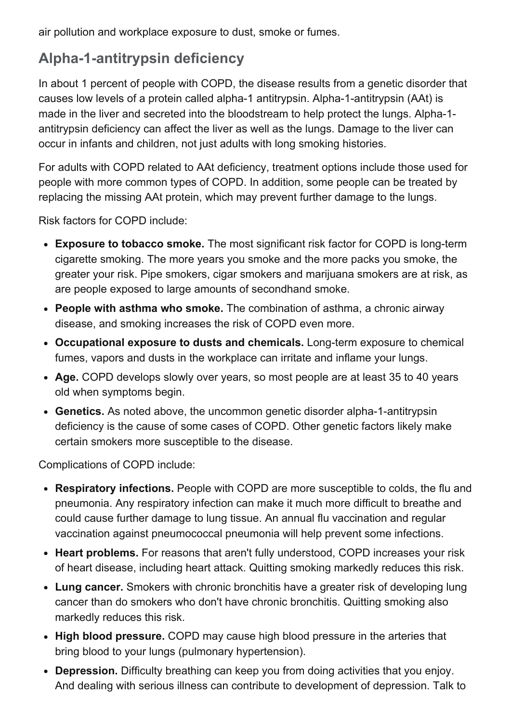air pollution and workplace exposure to dust, smoke or fumes.

# Alpha-1-antitrypsin deficiency

In about 1 percent of people with COPD, the disease results from a genetic disorder that causes low levels of a protein called alpha-1 antitrypsin. Alpha-1-antitrypsin (AAt) is made in the liver and secreted into the bloodstream to help protect the lungs. Alpha-1antitrypsin deficiency can affect the liver as well as the lungs. Damage to the liver can occur in infants and children, not just adults with long smoking histories.

For adults with COPD related to AAt deficiency, treatment options include those used for people with more common types of COPD. In addition, some people can be treated by replacing the missing AAt protein, which may prevent further damage to the lungs.

Risk factors for COPD include:

- Exposure to tobacco smoke. The most significant risk factor for COPD is long-term cigarette smoking. The more years you smoke and the more packs you smoke, the greater your risk. Pipe smokers, cigar smokers and marijuana smokers are at risk, as are people exposed to large amounts of secondhand smoke.
- People with asthma who smoke. The combination of asthma, a chronic airway disease, and smoking increases the risk of COPD even more.
- Occupational exposure to dusts and chemicals. Long-term exposure to chemical fumes, vapors and dusts in the workplace can irritate and inflame your lungs.
- Age. COPD develops slowly over years, so most people are at least 35 to 40 years old when symptoms begin.
- Genetics. As noted above, the uncommon genetic disorder alpha-1-antitrypsin deficiency is the cause of some cases of COPD. Other genetic factors likely make certain smokers more susceptible to the disease.

Complications of COPD include:

- Respiratory infections. People with COPD are more susceptible to colds, the flu and pneumonia. Any respiratory infection can make it much more difficult to breathe and could cause further damage to lung tissue. An annual flu vaccination and regular vaccination against pneumococcal pneumonia will help prevent some infections.
- Heart problems. For reasons that aren't fully understood, COPD increases your risk of heart disease, including heart attack. Quitting smoking markedly reduces this risk.
- Lung cancer. Smokers with chronic bronchitis have a greater risk of developing lung cancer than do smokers who don't have chronic bronchitis. Quitting smoking also markedly reduces this risk.
- High blood pressure. COPD may cause high blood pressure in the arteries that bring blood to your lungs (pulmonary hypertension).
- Depression. Difficulty breathing can keep you from doing activities that you enjoy. And dealing with serious illness can contribute to development of depression. Talk to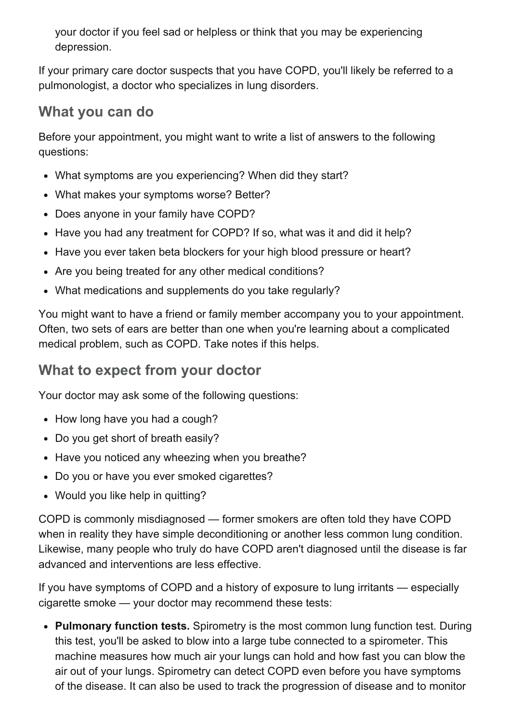your doctor if you feel sad or helpless or think that you may be experiencing depression.

If your primary care doctor suspects that you have COPD, you'll likely be referred to a pulmonologist, a doctor who specializes in lung disorders.

## What you can do

Before your appointment, you might want to write a list of answers to the following questions:

- What symptoms are you experiencing? When did they start?
- What makes your symptoms worse? Better?
- Does anyone in your family have COPD?
- Have you had any treatment for COPD? If so, what was it and did it help?
- Have you ever taken beta blockers for your high blood pressure or heart?
- Are you being treated for any other medical conditions?
- What medications and supplements do you take regularly?

You might want to have a friend or family member accompany you to your appointment. Often, two sets of ears are better than one when you're learning about a complicated medical problem, such as COPD. Take notes if this helps.

# What to expect from your doctor

Your doctor may ask some of the following questions:

- How long have you had a cough?
- Do you get short of breath easily?
- Have you noticed any wheezing when you breathe?
- Do you or have you ever smoked cigarettes?
- Would you like help in quitting?

COPD is commonly misdiagnosed — former smokers are often told they have COPD when in reality they have simple deconditioning or another less common lung condition. Likewise, many people who truly do have COPD aren't diagnosed until the disease is far advanced and interventions are less effective.

If you have symptoms of COPD and a history of exposure to lung irritants — especially cigarette smoke — your doctor may recommend these tests:

• Pulmonary function tests. Spirometry is the most common lung function test. During this test, you'll be asked to blow into a large tube connected to a spirometer. This machine measures how much air your lungs can hold and how fast you can blow the air out of your lungs. Spirometry can detect COPD even before you have symptoms of the disease. It can also be used to track the progression of disease and to monitor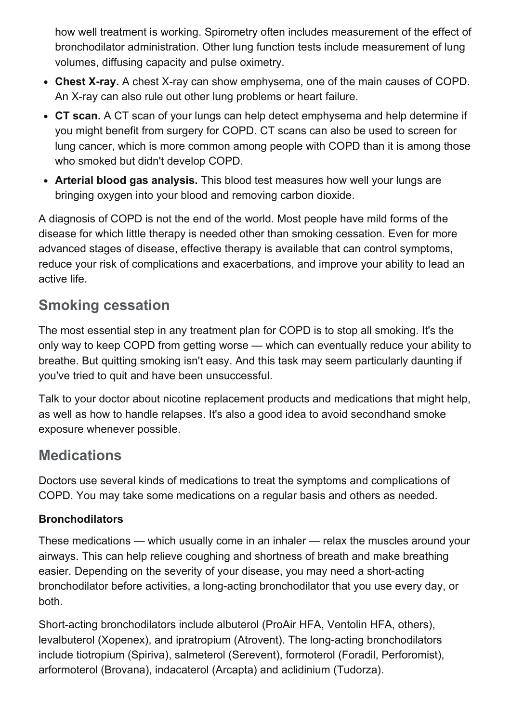how well treatment is working. Spirometry often includes measurement of the effect of bronchodilator administration. Other lung function tests include measurement of lung volumes, diffusing capacity and pulse oximetry.

- Chest X-ray. A chest X-ray can show emphysema, one of the main causes of COPD. An X-ray can also rule out other lung problems or heart failure.
- CT scan. A CT scan of your lungs can help detect emphysema and help determine if you might benefit from surgery for COPD. CT scans can also be used to screen for lung cancer, which is more common among people with COPD than it is among those who smoked but didn't develop COPD.
- Arterial blood gas analysis. This blood test measures how well your lungs are bringing oxygen into your blood and removing carbon dioxide.

A diagnosis of COPD is not the end of the world. Most people have mild forms of the disease for which little therapy is needed other than smoking cessation. Even for more advanced stages of disease, effective therapy is available that can control symptoms, reduce your risk of complications and exacerbations, and improve your ability to lead an active life.

# Smoking cessation

The most essential step in any treatment plan for COPD is to stop all smoking. It's the only way to keep COPD from getting worse — which can eventually reduce your ability to breathe. But quitting smoking isn't easy. And this task may seem particularly daunting if you've tried to quit and have been unsuccessful.

Talk to your doctor about nicotine replacement products and medications that might help, as well as how to handle relapses. It's also a good idea to avoid secondhand smoke exposure whenever possible.

# **Medications**

Doctors use several kinds of medications to treat the symptoms and complications of COPD. You may take some medications on a regular basis and others as needed.

### **Bronchodilators**

These medications — which usually come in an inhaler — relax the muscles around your airways. This can help relieve coughing and shortness of breath and make breathing easier. Depending on the severity of your disease, you may need a short-acting bronchodilator before activities, a long-acting bronchodilator that you use every day, or both.

Short-acting bronchodilators include albuterol (ProAir HFA, Ventolin HFA, others), levalbuterol (Xopenex), and ipratropium (Atrovent). The long-acting bronchodilators include tiotropium (Spiriva), salmeterol (Serevent), formoterol (Foradil, Perforomist), arformoterol (Brovana), indacaterol (Arcapta) and aclidinium (Tudorza).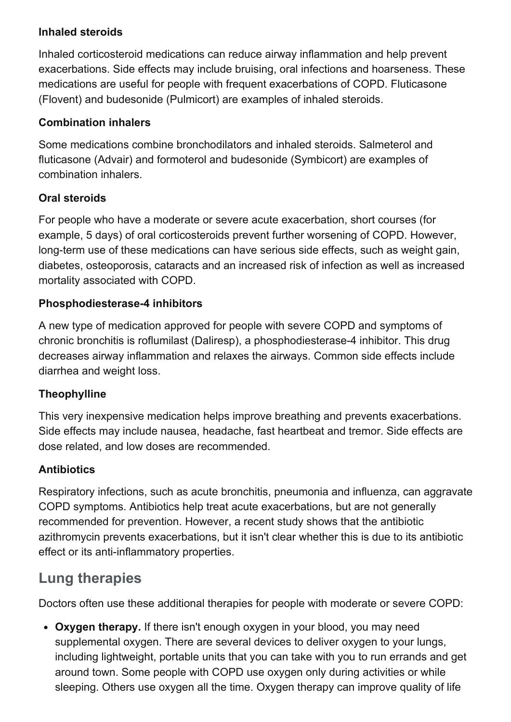#### Inhaled steroids

Inhaled corticosteroid medications can reduce airway inflammation and help prevent exacerbations. Side effects may include bruising, oral infections and hoarseness. These medications are useful for people with frequent exacerbations of COPD. Fluticasone (Flovent) and budesonide (Pulmicort) are examples of inhaled steroids.

#### Combination inhalers

Some medications combine bronchodilators and inhaled steroids. Salmeterol and fluticasone (Advair) and formoterol and budesonide (Symbicort) are examples of combination inhalers.

#### Oral steroids

For people who have a moderate or severe acute exacerbation, short courses (for example, 5 days) of oral corticosteroids prevent further worsening of COPD. However, long-term use of these medications can have serious side effects, such as weight gain, diabetes, osteoporosis, cataracts and an increased risk of infection as well as increased mortality associated with COPD.

#### Phosphodiesterase-4 inhibitors

A new type of medication approved for people with severe COPD and symptoms of chronic bronchitis is roflumilast (Daliresp), a phosphodiesterase-4 inhibitor. This drug decreases airway inflammation and relaxes the airways. Common side effects include diarrhea and weight loss.

### Theophylline

This very inexpensive medication helps improve breathing and prevents exacerbations. Side effects may include nausea, headache, fast heartbeat and tremor. Side effects are dose related, and low doses are recommended.

### **Antibiotics**

Respiratory infections, such as acute bronchitis, pneumonia and influenza, can aggravate COPD symptoms. Antibiotics help treat acute exacerbations, but are not generally recommended for prevention. However, a recent study shows that the antibiotic azithromycin prevents exacerbations, but it isn't clear whether this is due to its antibiotic effect or its anti-inflammatory properties.

## Lung therapies

Doctors often use these additional therapies for people with moderate or severe COPD:

• Oxygen therapy. If there isn't enough oxygen in your blood, you may need supplemental oxygen. There are several devices to deliver oxygen to your lungs, including lightweight, portable units that you can take with you to run errands and get around town. Some people with COPD use oxygen only during activities or while sleeping. Others use oxygen all the time. Oxygen therapy can improve quality of life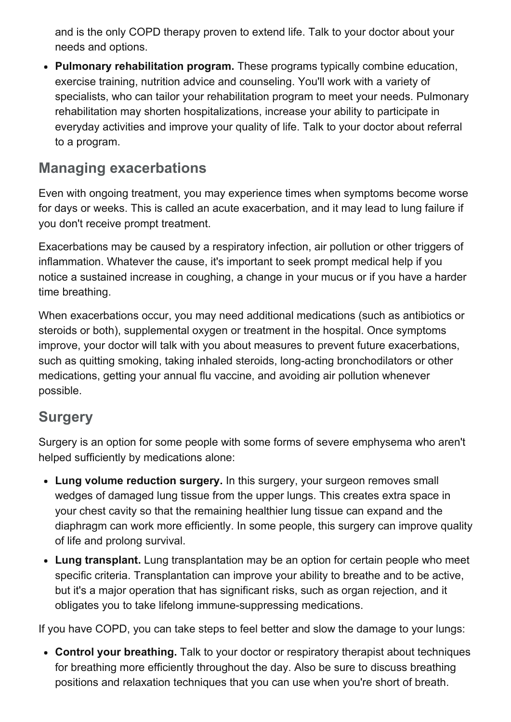and is the only COPD therapy proven to extend life. Talk to your doctor about your needs and options.

• Pulmonary rehabilitation program. These programs typically combine education, exercise training, nutrition advice and counseling. You'll work with a variety of specialists, who can tailor your rehabilitation program to meet your needs. Pulmonary rehabilitation may shorten hospitalizations, increase your ability to participate in everyday activities and improve your quality of life. Talk to your doctor about referral to a program.

## Managing exacerbations

Even with ongoing treatment, you may experience times when symptoms become worse for days or weeks. This is called an acute exacerbation, and it may lead to lung failure if you don't receive prompt treatment.

Exacerbations may be caused by a respiratory infection, air pollution or other triggers of inflammation. Whatever the cause, it's important to seek prompt medical help if you notice a sustained increase in coughing, a change in your mucus or if you have a harder time breathing.

When exacerbations occur, you may need additional medications (such as antibiotics or steroids or both), supplemental oxygen or treatment in the hospital. Once symptoms improve, your doctor will talk with you about measures to prevent future exacerbations, such as quitting smoking, taking inhaled steroids, long-acting bronchodilators or other medications, getting your annual flu vaccine, and avoiding air pollution whenever possible.

## **Surgery**

Surgery is an option for some people with some forms of severe emphysema who aren't helped sufficiently by medications alone:

- Lung volume reduction surgery. In this surgery, your surgeon removes small wedges of damaged lung tissue from the upper lungs. This creates extra space in your chest cavity so that the remaining healthier lung tissue can expand and the diaphragm can work more efficiently. In some people, this surgery can improve quality of life and prolong survival.
- Lung transplant. Lung transplantation may be an option for certain people who meet specific criteria. Transplantation can improve your ability to breathe and to be active, but it's a major operation that has significant risks, such as organ rejection, and it obligates you to take lifelong immune-suppressing medications.

If you have COPD, you can take steps to feel better and slow the damage to your lungs:

• Control your breathing. Talk to your doctor or respiratory therapist about techniques for breathing more efficiently throughout the day. Also be sure to discuss breathing positions and relaxation techniques that you can use when you're short of breath.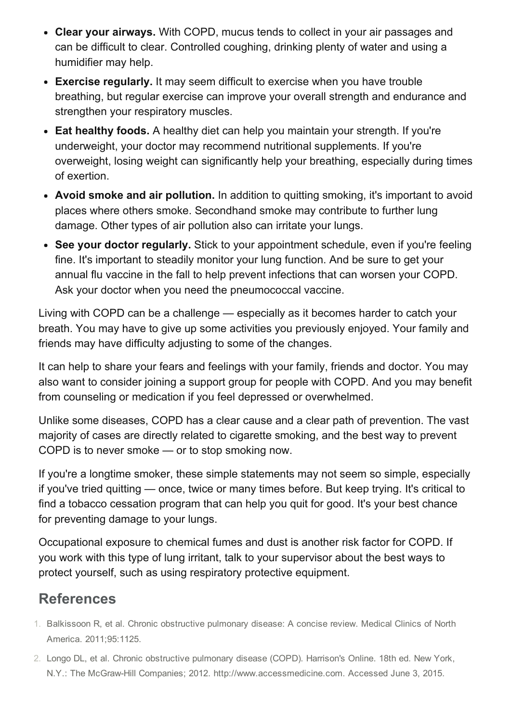- Clear your airways. With COPD, mucus tends to collect in your air passages and can be difficult to clear. Controlled coughing, drinking plenty of water and using a humidifier may help.
- Exercise regularly. It may seem difficult to exercise when you have trouble breathing, but regular exercise can improve your overall strength and endurance and strengthen your respiratory muscles.
- Eat healthy foods. A healthy diet can help you maintain your strength. If you're underweight, your doctor may recommend nutritional supplements. If you're overweight, losing weight can significantly help your breathing, especially during times of exertion.
- Avoid smoke and air pollution. In addition to quitting smoking, it's important to avoid places where others smoke. Secondhand smoke may contribute to further lung damage. Other types of air pollution also can irritate your lungs.
- See your doctor regularly. Stick to your appointment schedule, even if you're feeling fine. It's important to steadily monitor your lung function. And be sure to get your annual flu vaccine in the fall to help prevent infections that can worsen your COPD. Ask your doctor when you need the pneumococcal vaccine.

Living with COPD can be a challenge — especially as it becomes harder to catch your breath. You may have to give up some activities you previously enjoyed. Your family and friends may have difficulty adjusting to some of the changes.

It can help to share your fears and feelings with your family, friends and doctor. You may also want to consider joining a support group for people with COPD. And you may benefit from counseling or medication if you feel depressed or overwhelmed.

Unlike some diseases, COPD has a clear cause and a clear path of prevention. The vast majority of cases are directly related to cigarette smoking, and the best way to prevent COPD is to never smoke — or to stop smoking now.

If you're a longtime smoker, these simple statements may not seem so simple, especially if you've tried quitting — once, twice or many times before. But keep trying. It's critical to find a tobacco cessation program that can help you quit for good. It's your best chance for preventing damage to your lungs.

Occupational exposure to chemical fumes and dust is another risk factor for COPD. If you work with this type of lung irritant, talk to your supervisor about the best ways to protect yourself, such as using respiratory protective equipment.

# References

- 1. Balkissoon R, et al. Chronic obstructive pulmonary disease: A concise review. Medical Clinics of North America. 2011;95:1125.
- 2. Longo DL, et al. Chronic obstructive pulmonary disease (COPD). Harrison's Online. 18th ed. New York, N.Y.: The McGrawHill Companies; 2012. http://www.accessmedicine.com. Accessed June 3, 2015.